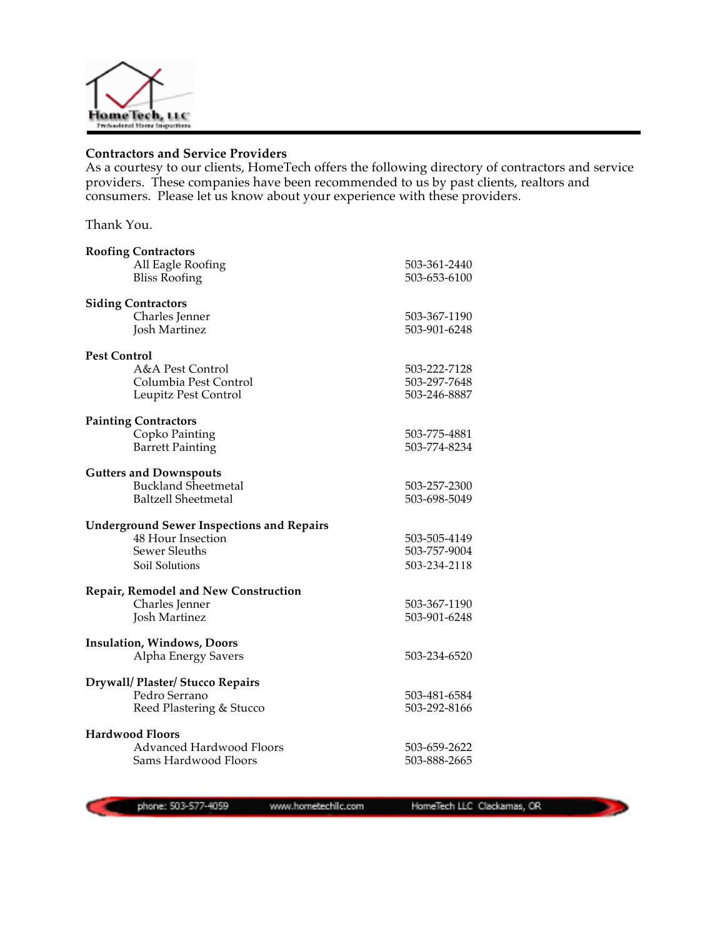

## **Contractors and Service Providers**

As a courtesy to our clients, HomeTech offers the following directory of contractors and service providers. These companies have been recommended to us by past clients, realtors and consumers. Please let us know about your experience with these providers.

Thank You.

| <b>Roofing Contractors</b>                       |              |
|--------------------------------------------------|--------------|
| All Eagle Roofing                                | 503-361-2440 |
| <b>Bliss Roofing</b>                             | 503-653-6100 |
| <b>Siding Contractors</b>                        |              |
| Charles Jenner                                   | 503-367-1190 |
| <b>Josh Martinez</b>                             | 503-901-6248 |
|                                                  |              |
| <b>Pest Control</b>                              |              |
| A&A Pest Control                                 | 503-222-7128 |
| Columbia Pest Control                            | 503-297-7648 |
| Leupitz Pest Control                             | 503-246-8887 |
| <b>Painting Contractors</b>                      |              |
| Copko Painting                                   | 503-775-4881 |
| <b>Barrett Painting</b>                          | 503-774-8234 |
|                                                  |              |
| <b>Gutters and Downspouts</b>                    |              |
| <b>Buckland Sheetmetal</b>                       | 503-257-2300 |
| <b>Baltzell Sheetmetal</b>                       | 503-698-5049 |
| <b>Underground Sewer Inspections and Repairs</b> |              |
| 48 Hour Insection                                | 503-505-4149 |
| Sewer Sleuths                                    | 503-757-9004 |
| Soil Solutions                                   | 503-234-2118 |
|                                                  |              |
| <b>Repair, Remodel and New Construction</b>      |              |
| Charles Jenner                                   | 503-367-1190 |
| <b>Josh Martinez</b>                             | 503-901-6248 |
| Insulation, Windows, Doors                       |              |
| Alpha Energy Savers                              | 503-234-6520 |
|                                                  |              |
| Drywall/ Plaster/ Stucco Repairs                 |              |
| Pedro Serrano                                    | 503-481-6584 |
| Reed Plastering & Stucco                         | 503-292-8166 |
| <b>Hardwood Floors</b>                           |              |
| <b>Advanced Hardwood Floors</b>                  | 503-659-2622 |
| Sams Hardwood Floors                             | 503-888-2665 |
|                                                  |              |

phone: 503-577-4059

www.hometechlic.com

HomeTech LLC Clackamas, CR